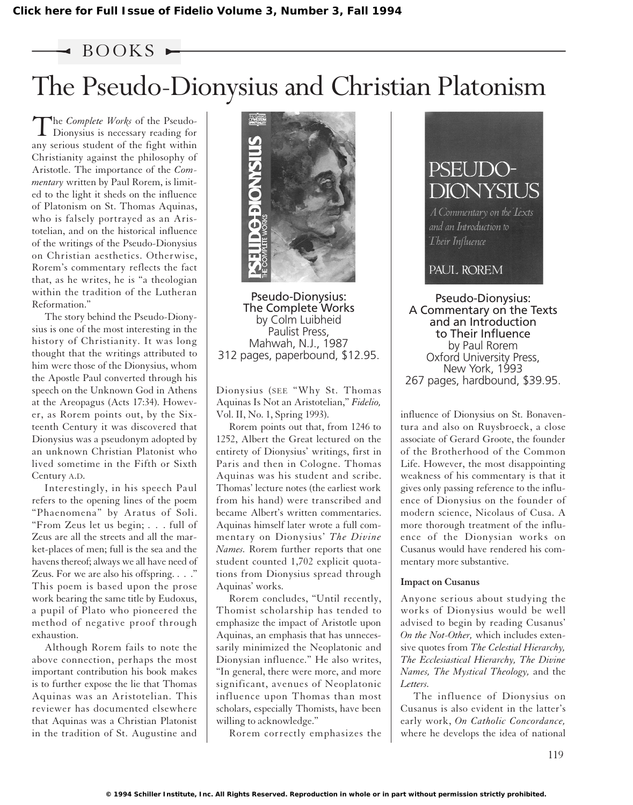## $\triangleleft$  BOOKS  $\blacktriangleright$

## The Pseudo-Dionysius and Christian Platonism

The *Complete Works* of the Pseudo-Dionysius is necessary reading for any serious student of the fight within Christianity against the philosophy of Aristotle. The importance of the *Commentary* written by Paul Rorem, is limited to the light it sheds on the influence of Platonism on St. Thomas Aquinas, who is falsely portrayed as an Aristotelian, and on the historical influence of the writings of the Pseudo-Dionysius on Christian aesthetics. Otherwise, Rorem's commentary reflects the fact that, as he writes, he is "a theologian within the tradition of the Lutheran Reformation."

The story behind the Pseudo-Dionysius is one of the most interesting in the history of Christianity. It was long thought that the writings attributed to him were those of the Dionysius, whom the Apostle Paul converted through his speech on the Unknown God in Athens at the Areopagus (Acts 17:34). However, as Rorem points out, by the Sixteenth Century it was discovered that Dionysius was a pseudonym adopted by an unknown Christian Platonist who lived sometime in the Fifth or Sixth Century A.D.

Interestingly, in his speech Paul refers to the opening lines of the poem "Phaenomena" by Aratus of Soli. "From Zeus let us begin; . . . full of Zeus are all the streets and all the market-places of men; full is the sea and the havens thereof; always we all have need of Zeus. For we are also his offspring. . . ." This poem is based upon the prose work bearing the same title by Eudoxus, a pupil of Plato who pioneered the method of negative proof through exhaustion.

Although Rorem fails to note the above connection, perhaps the most important contribution his book makes is to further expose the lie that Thomas Aquinas was an Aristotelian. This reviewer has documented elsewhere that Aquinas was a Christian Platonist in the tradition of St. Augustine and



Pseudo-Dionysius: The Complete Works by Colm Luibheid Paulist Press, Mahwah, N.J., 1987 312 pages, paperbound, \$12.95.

Dionysius (SEE "Why St. Thomas Aquinas Is Not an Aristotelian," *Fidelio,* Vol. II, No. 1, Spring 1993).

Rorem points out that, from 1246 to 1252, Albert the Great lectured on the entirety of Dionysius' writings, first in Paris and then in Cologne. Thomas Aquinas was his student and scribe. Thomas' lecture notes (the earliest work from his hand) were transcribed and became Albert's written commentaries. Aquinas himself later wrote a full commentary on Dionysius' *The Divine Names.* Rorem further reports that one student counted 1,702 explicit quotations from Dionysius spread through Aquinas' works.

Rorem concludes, "Until recently, Thomist scholarship has tended to emphasize the impact of Aristotle upon Aquinas, an emphasis that has unnecessarily minimized the Neoplatonic and Dionysian influence." He also writes, "In general, there were more, and more significant, avenues of Neoplatonic influence upon Thomas than most scholars, especially Thomists, have been willing to acknowledge."

Rorem correctly emphasizes the



and an Introduction to Their Influence

PAUL ROREM

Pseudo-Dionysius: A Commentary on the Texts and an Introduction to Their Influence by Paul Rorem Oxford University Press, New York, 1993 267 pages, hardbound, \$39.95.

influence of Dionysius on St. Bonaventura and also on Ruysbroeck, a close associate of Gerard Groote, the founder of the Brotherhood of the Common Life. However, the most disappointing weakness of his commentary is that it gives only passing reference to the influence of Dionysius on the founder of modern science, Nicolaus of Cusa. A more thorough treatment of the influence of the Dionysian works on Cusanus would have rendered his commentary more substantive.

## **Impact on Cusanus**

Anyone serious about studying the works of Dionysius would be well advised to begin by reading Cusanus' *On the Not-Other,* which includes extensive quotes from *The Celestial Hierarchy, The Ecclesiastical Hierarchy, The Divine Names, The Mystical Theology,* and the *Letters.*

The influence of Dionysius on Cusanus is also evident in the latter's early work, *On Catholic Concordance,* where he develops the idea of national